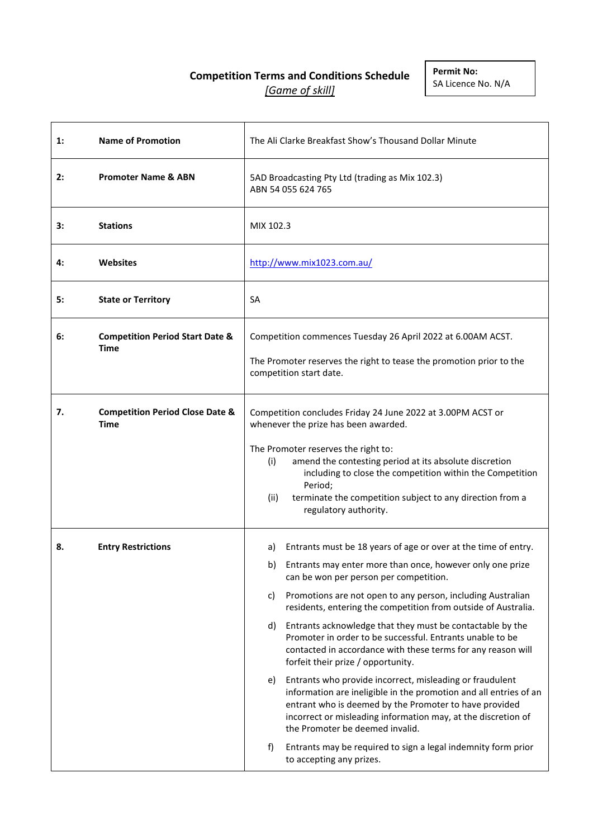# **Competition Terms and Conditions Schedule** *[Game of skill]*

| $\mathbf{1}$ : | <b>Name of Promotion</b>                           | The Ali Clarke Breakfast Show's Thousand Dollar Minute                                                                                                                                                                                                                                                                                                                                                                                                                                                                                                                                                                                                                                                                                                                                                                                                                                                                                                                 |
|----------------|----------------------------------------------------|------------------------------------------------------------------------------------------------------------------------------------------------------------------------------------------------------------------------------------------------------------------------------------------------------------------------------------------------------------------------------------------------------------------------------------------------------------------------------------------------------------------------------------------------------------------------------------------------------------------------------------------------------------------------------------------------------------------------------------------------------------------------------------------------------------------------------------------------------------------------------------------------------------------------------------------------------------------------|
| 2:             | <b>Promoter Name &amp; ABN</b>                     | 5AD Broadcasting Pty Ltd (trading as Mix 102.3)<br>ABN 54 055 624 765                                                                                                                                                                                                                                                                                                                                                                                                                                                                                                                                                                                                                                                                                                                                                                                                                                                                                                  |
| 3:             | <b>Stations</b>                                    | MIX 102.3                                                                                                                                                                                                                                                                                                                                                                                                                                                                                                                                                                                                                                                                                                                                                                                                                                                                                                                                                              |
| 4:             | <b>Websites</b>                                    | http://www.mix1023.com.au/                                                                                                                                                                                                                                                                                                                                                                                                                                                                                                                                                                                                                                                                                                                                                                                                                                                                                                                                             |
| 5:             | <b>State or Territory</b>                          | SA                                                                                                                                                                                                                                                                                                                                                                                                                                                                                                                                                                                                                                                                                                                                                                                                                                                                                                                                                                     |
| 6:             | <b>Competition Period Start Date &amp;</b><br>Time | Competition commences Tuesday 26 April 2022 at 6.00AM ACST.<br>The Promoter reserves the right to tease the promotion prior to the<br>competition start date.                                                                                                                                                                                                                                                                                                                                                                                                                                                                                                                                                                                                                                                                                                                                                                                                          |
| 7.             | <b>Competition Period Close Date &amp;</b><br>Time | Competition concludes Friday 24 June 2022 at 3.00PM ACST or<br>whenever the prize has been awarded.<br>The Promoter reserves the right to:<br>(i)<br>amend the contesting period at its absolute discretion<br>including to close the competition within the Competition<br>Period;<br>terminate the competition subject to any direction from a<br>(ii)<br>regulatory authority.                                                                                                                                                                                                                                                                                                                                                                                                                                                                                                                                                                                      |
| 8.             | <b>Entry Restrictions</b>                          | Entrants must be 18 years of age or over at the time of entry.<br>a)<br>Entrants may enter more than once, however only one prize<br>b)<br>can be won per person per competition.<br>Promotions are not open to any person, including Australian<br>C)<br>residents, entering the competition from outside of Australia.<br>Entrants acknowledge that they must be contactable by the<br>d)<br>Promoter in order to be successful. Entrants unable to be<br>contacted in accordance with these terms for any reason will<br>forfeit their prize / opportunity.<br>Entrants who provide incorrect, misleading or fraudulent<br>e)<br>information are ineligible in the promotion and all entries of an<br>entrant who is deemed by the Promoter to have provided<br>incorrect or misleading information may, at the discretion of<br>the Promoter be deemed invalid.<br>Entrants may be required to sign a legal indemnity form prior<br>f)<br>to accepting any prizes. |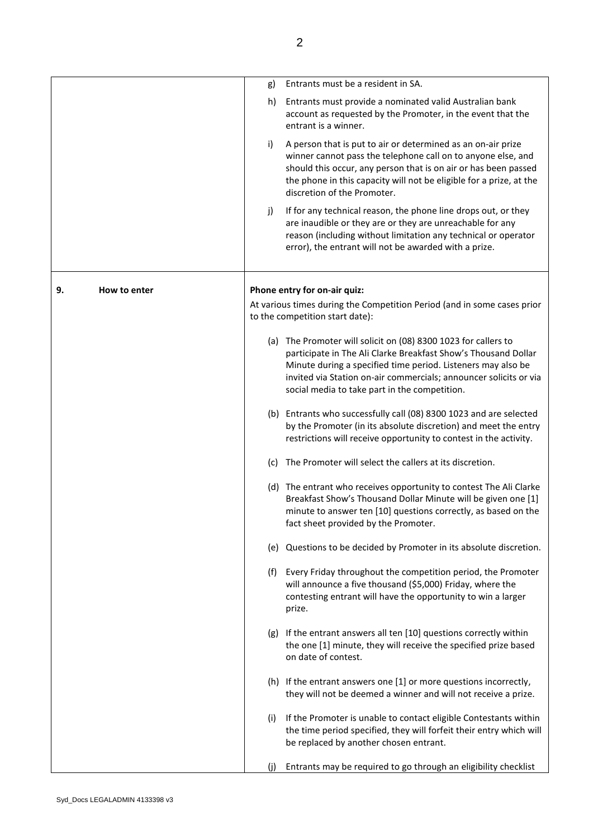|    |              | g)  | Entrants must be a resident in SA.                                                                                                                                                                                                                                                                                     |
|----|--------------|-----|------------------------------------------------------------------------------------------------------------------------------------------------------------------------------------------------------------------------------------------------------------------------------------------------------------------------|
|    |              | h)  | Entrants must provide a nominated valid Australian bank<br>account as requested by the Promoter, in the event that the<br>entrant is a winner.                                                                                                                                                                         |
|    |              | i)  | A person that is put to air or determined as an on-air prize<br>winner cannot pass the telephone call on to anyone else, and<br>should this occur, any person that is on air or has been passed<br>the phone in this capacity will not be eligible for a prize, at the<br>discretion of the Promoter.                  |
|    |              | j)  | If for any technical reason, the phone line drops out, or they<br>are inaudible or they are or they are unreachable for any<br>reason (including without limitation any technical or operator<br>error), the entrant will not be awarded with a prize.                                                                 |
| 9. | How to enter |     | Phone entry for on-air quiz:                                                                                                                                                                                                                                                                                           |
|    |              |     | At various times during the Competition Period (and in some cases prior<br>to the competition start date):                                                                                                                                                                                                             |
|    |              |     | (a) The Promoter will solicit on (08) 8300 1023 for callers to<br>participate in The Ali Clarke Breakfast Show's Thousand Dollar<br>Minute during a specified time period. Listeners may also be<br>invited via Station on-air commercials; announcer solicits or via<br>social media to take part in the competition. |
|    |              |     | (b) Entrants who successfully call (08) 8300 1023 and are selected<br>by the Promoter (in its absolute discretion) and meet the entry<br>restrictions will receive opportunity to contest in the activity.                                                                                                             |
|    |              | (C) | The Promoter will select the callers at its discretion.                                                                                                                                                                                                                                                                |
|    |              |     | (d) The entrant who receives opportunity to contest The Ali Clarke<br>Breakfast Show's Thousand Dollar Minute will be given one [1]<br>minute to answer ten [10] questions correctly, as based on the<br>fact sheet provided by the Promoter.                                                                          |
|    |              |     | (e) Questions to be decided by Promoter in its absolute discretion.                                                                                                                                                                                                                                                    |
|    |              |     | (f) Every Friday throughout the competition period, the Promoter<br>will announce a five thousand (\$5,000) Friday, where the<br>contesting entrant will have the opportunity to win a larger<br>prize.                                                                                                                |
|    |              |     | (g) If the entrant answers all ten [10] questions correctly within<br>the one [1] minute, they will receive the specified prize based<br>on date of contest.                                                                                                                                                           |
|    |              |     | (h) If the entrant answers one [1] or more questions incorrectly,<br>they will not be deemed a winner and will not receive a prize.                                                                                                                                                                                    |
|    |              | (i) | If the Promoter is unable to contact eligible Contestants within<br>the time period specified, they will forfeit their entry which will<br>be replaced by another chosen entrant.                                                                                                                                      |
|    |              | (i) | Entrants may be required to go through an eligibility checklist                                                                                                                                                                                                                                                        |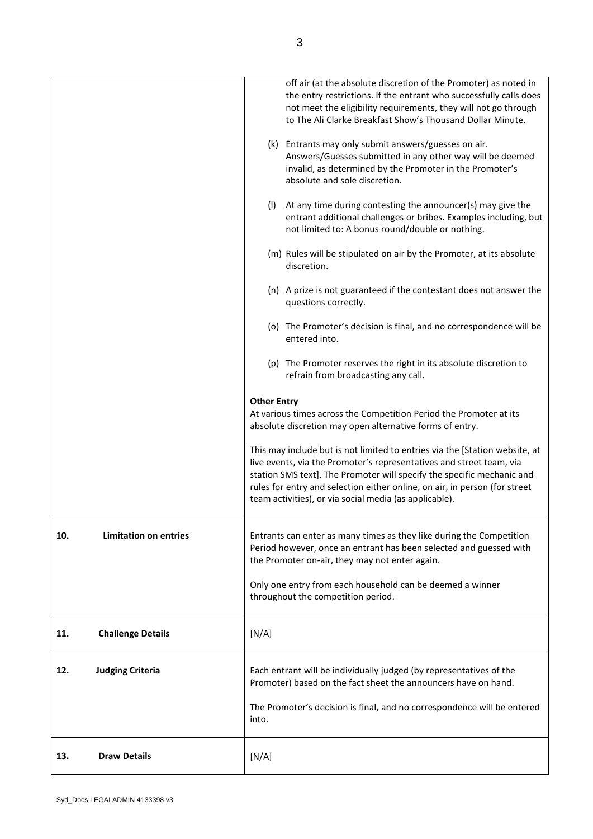|                                     | off air (at the absolute discretion of the Promoter) as noted in<br>the entry restrictions. If the entrant who successfully calls does<br>not meet the eligibility requirements, they will not go through<br>to The Ali Clarke Breakfast Show's Thousand Dollar Minute.                                                                                               |
|-------------------------------------|-----------------------------------------------------------------------------------------------------------------------------------------------------------------------------------------------------------------------------------------------------------------------------------------------------------------------------------------------------------------------|
|                                     | (k) Entrants may only submit answers/guesses on air.<br>Answers/Guesses submitted in any other way will be deemed<br>invalid, as determined by the Promoter in the Promoter's<br>absolute and sole discretion.                                                                                                                                                        |
|                                     | (I) At any time during contesting the announcer(s) may give the<br>entrant additional challenges or bribes. Examples including, but<br>not limited to: A bonus round/double or nothing.                                                                                                                                                                               |
|                                     | (m) Rules will be stipulated on air by the Promoter, at its absolute<br>discretion.                                                                                                                                                                                                                                                                                   |
|                                     | (n) A prize is not guaranteed if the contestant does not answer the<br>questions correctly.                                                                                                                                                                                                                                                                           |
|                                     | (o) The Promoter's decision is final, and no correspondence will be<br>entered into.                                                                                                                                                                                                                                                                                  |
|                                     | (p) The Promoter reserves the right in its absolute discretion to<br>refrain from broadcasting any call.                                                                                                                                                                                                                                                              |
|                                     | <b>Other Entry</b><br>At various times across the Competition Period the Promoter at its<br>absolute discretion may open alternative forms of entry.                                                                                                                                                                                                                  |
|                                     | This may include but is not limited to entries via the [Station website, at<br>live events, via the Promoter's representatives and street team, via<br>station SMS text]. The Promoter will specify the specific mechanic and<br>rules for entry and selection either online, on air, in person (for street<br>team activities), or via social media (as applicable). |
| <b>Limitation on entries</b><br>10. | Entrants can enter as many times as they like during the Competition<br>Period however, once an entrant has been selected and guessed with<br>the Promoter on-air, they may not enter again.                                                                                                                                                                          |
|                                     | Only one entry from each household can be deemed a winner<br>throughout the competition period.                                                                                                                                                                                                                                                                       |
| 11.<br><b>Challenge Details</b>     | [N/A]                                                                                                                                                                                                                                                                                                                                                                 |
| <b>Judging Criteria</b><br>12.      | Each entrant will be individually judged (by representatives of the<br>Promoter) based on the fact sheet the announcers have on hand.                                                                                                                                                                                                                                 |
|                                     | The Promoter's decision is final, and no correspondence will be entered<br>into.                                                                                                                                                                                                                                                                                      |
| <b>Draw Details</b><br>13.          | [N/A]                                                                                                                                                                                                                                                                                                                                                                 |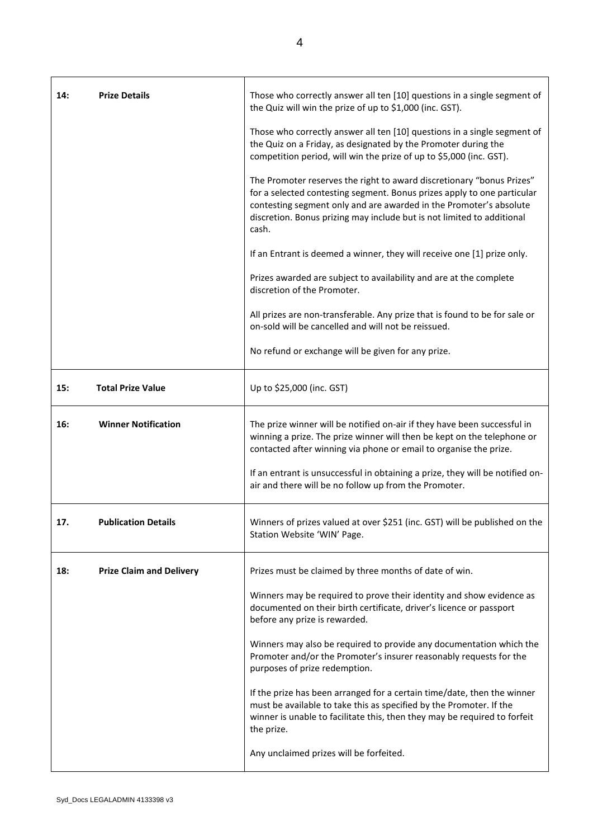| 14: | <b>Prize Details</b>            | Those who correctly answer all ten [10] questions in a single segment of<br>the Quiz will win the prize of up to \$1,000 (inc. GST).                                                                                                                                                                      |
|-----|---------------------------------|-----------------------------------------------------------------------------------------------------------------------------------------------------------------------------------------------------------------------------------------------------------------------------------------------------------|
|     |                                 | Those who correctly answer all ten [10] questions in a single segment of<br>the Quiz on a Friday, as designated by the Promoter during the<br>competition period, will win the prize of up to \$5,000 (inc. GST).                                                                                         |
|     |                                 | The Promoter reserves the right to award discretionary "bonus Prizes"<br>for a selected contesting segment. Bonus prizes apply to one particular<br>contesting segment only and are awarded in the Promoter's absolute<br>discretion. Bonus prizing may include but is not limited to additional<br>cash. |
|     |                                 | If an Entrant is deemed a winner, they will receive one [1] prize only.                                                                                                                                                                                                                                   |
|     |                                 | Prizes awarded are subject to availability and are at the complete<br>discretion of the Promoter.                                                                                                                                                                                                         |
|     |                                 | All prizes are non-transferable. Any prize that is found to be for sale or<br>on-sold will be cancelled and will not be reissued.                                                                                                                                                                         |
|     |                                 | No refund or exchange will be given for any prize.                                                                                                                                                                                                                                                        |
| 15: | <b>Total Prize Value</b>        | Up to \$25,000 (inc. GST)                                                                                                                                                                                                                                                                                 |
| 16: | <b>Winner Notification</b>      | The prize winner will be notified on-air if they have been successful in<br>winning a prize. The prize winner will then be kept on the telephone or<br>contacted after winning via phone or email to organise the prize.                                                                                  |
|     |                                 | If an entrant is unsuccessful in obtaining a prize, they will be notified on-<br>air and there will be no follow up from the Promoter.                                                                                                                                                                    |
| 17. | <b>Publication Details</b>      | Winners of prizes valued at over \$251 (inc. GST) will be published on the<br>Station Website 'WIN' Page.                                                                                                                                                                                                 |
| 18: | <b>Prize Claim and Delivery</b> | Prizes must be claimed by three months of date of win.                                                                                                                                                                                                                                                    |
|     |                                 | Winners may be required to prove their identity and show evidence as<br>documented on their birth certificate, driver's licence or passport<br>before any prize is rewarded.                                                                                                                              |
|     |                                 | Winners may also be required to provide any documentation which the<br>Promoter and/or the Promoter's insurer reasonably requests for the<br>purposes of prize redemption.                                                                                                                                |
|     |                                 | If the prize has been arranged for a certain time/date, then the winner<br>must be available to take this as specified by the Promoter. If the<br>winner is unable to facilitate this, then they may be required to forfeit<br>the prize.                                                                 |
|     |                                 | Any unclaimed prizes will be forfeited.                                                                                                                                                                                                                                                                   |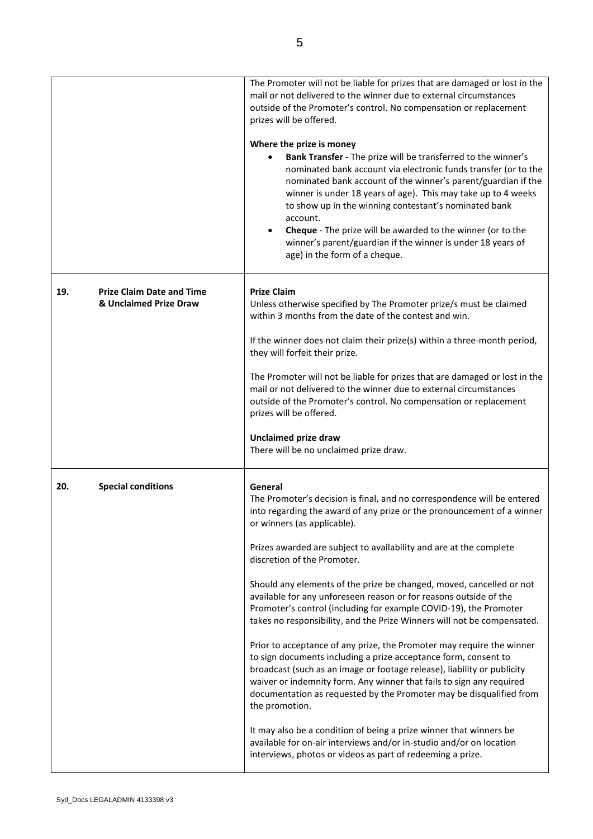|     |                                                            | The Promoter will not be liable for prizes that are damaged or lost in the<br>mail or not delivered to the winner due to external circumstances<br>outside of the Promoter's control. No compensation or replacement<br>prizes will be offered.<br>Where the prize is money<br>Bank Transfer - The prize will be transferred to the winner's<br>$\bullet$<br>nominated bank account via electronic funds transfer (or to the<br>nominated bank account of the winner's parent/guardian if the<br>winner is under 18 years of age). This may take up to 4 weeks<br>to show up in the winning contestant's nominated bank<br>account.<br>Cheque - The prize will be awarded to the winner (or to the<br>winner's parent/guardian if the winner is under 18 years of<br>age) in the form of a cheque.                                                                                                                                                                                                                                                                                                                                                                                               |
|-----|------------------------------------------------------------|--------------------------------------------------------------------------------------------------------------------------------------------------------------------------------------------------------------------------------------------------------------------------------------------------------------------------------------------------------------------------------------------------------------------------------------------------------------------------------------------------------------------------------------------------------------------------------------------------------------------------------------------------------------------------------------------------------------------------------------------------------------------------------------------------------------------------------------------------------------------------------------------------------------------------------------------------------------------------------------------------------------------------------------------------------------------------------------------------------------------------------------------------------------------------------------------------|
| 19. | <b>Prize Claim Date and Time</b><br>& Unclaimed Prize Draw | <b>Prize Claim</b><br>Unless otherwise specified by The Promoter prize/s must be claimed<br>within 3 months from the date of the contest and win.<br>If the winner does not claim their prize(s) within a three-month period,<br>they will forfeit their prize.<br>The Promoter will not be liable for prizes that are damaged or lost in the<br>mail or not delivered to the winner due to external circumstances<br>outside of the Promoter's control. No compensation or replacement<br>prizes will be offered.<br><b>Unclaimed prize draw</b><br>There will be no unclaimed prize draw.                                                                                                                                                                                                                                                                                                                                                                                                                                                                                                                                                                                                      |
| 20. | <b>Special conditions</b>                                  | General<br>The Promoter's decision is final, and no correspondence will be entered<br>into regarding the award of any prize or the pronouncement of a winner<br>or winners (as applicable).<br>Prizes awarded are subject to availability and are at the complete<br>discretion of the Promoter.<br>Should any elements of the prize be changed, moved, cancelled or not<br>available for any unforeseen reason or for reasons outside of the<br>Promoter's control (including for example COVID-19), the Promoter<br>takes no responsibility, and the Prize Winners will not be compensated.<br>Prior to acceptance of any prize, the Promoter may require the winner<br>to sign documents including a prize acceptance form, consent to<br>broadcast (such as an image or footage release), liability or publicity<br>waiver or indemnity form. Any winner that fails to sign any required<br>documentation as requested by the Promoter may be disqualified from<br>the promotion.<br>It may also be a condition of being a prize winner that winners be<br>available for on-air interviews and/or in-studio and/or on location<br>interviews, photos or videos as part of redeeming a prize. |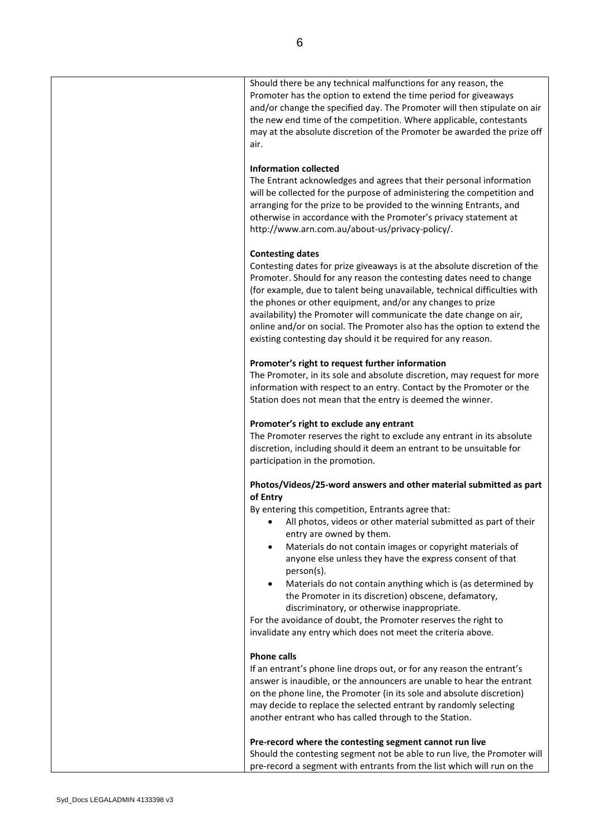| Should there be any technical malfunctions for any reason, the<br>Promoter has the option to extend the time period for giveaways<br>and/or change the specified day. The Promoter will then stipulate on air<br>the new end time of the competition. Where applicable, contestants<br>may at the absolute discretion of the Promoter be awarded the prize off<br>air.                                                                                                                                                                                                                                                                                                                        |
|-----------------------------------------------------------------------------------------------------------------------------------------------------------------------------------------------------------------------------------------------------------------------------------------------------------------------------------------------------------------------------------------------------------------------------------------------------------------------------------------------------------------------------------------------------------------------------------------------------------------------------------------------------------------------------------------------|
| <b>Information collected</b><br>The Entrant acknowledges and agrees that their personal information<br>will be collected for the purpose of administering the competition and<br>arranging for the prize to be provided to the winning Entrants, and<br>otherwise in accordance with the Promoter's privacy statement at<br>http://www.arn.com.au/about-us/privacy-policy/.                                                                                                                                                                                                                                                                                                                   |
| <b>Contesting dates</b><br>Contesting dates for prize giveaways is at the absolute discretion of the<br>Promoter. Should for any reason the contesting dates need to change<br>(for example, due to talent being unavailable, technical difficulties with<br>the phones or other equipment, and/or any changes to prize<br>availability) the Promoter will communicate the date change on air,<br>online and/or on social. The Promoter also has the option to extend the<br>existing contesting day should it be required for any reason.                                                                                                                                                    |
| Promoter's right to request further information<br>The Promoter, in its sole and absolute discretion, may request for more<br>information with respect to an entry. Contact by the Promoter or the<br>Station does not mean that the entry is deemed the winner.                                                                                                                                                                                                                                                                                                                                                                                                                              |
| Promoter's right to exclude any entrant<br>The Promoter reserves the right to exclude any entrant in its absolute<br>discretion, including should it deem an entrant to be unsuitable for<br>participation in the promotion.                                                                                                                                                                                                                                                                                                                                                                                                                                                                  |
| Photos/Videos/25-word answers and other material submitted as part<br>of Entry<br>By entering this competition, Entrants agree that:<br>All photos, videos or other material submitted as part of their<br>entry are owned by them.<br>Materials do not contain images or copyright materials of<br>٠<br>anyone else unless they have the express consent of that<br>person(s).<br>Materials do not contain anything which is (as determined by<br>٠<br>the Promoter in its discretion) obscene, defamatory,<br>discriminatory, or otherwise inappropriate.<br>For the avoidance of doubt, the Promoter reserves the right to<br>invalidate any entry which does not meet the criteria above. |
| <b>Phone calls</b><br>If an entrant's phone line drops out, or for any reason the entrant's<br>answer is inaudible, or the announcers are unable to hear the entrant<br>on the phone line, the Promoter (in its sole and absolute discretion)<br>may decide to replace the selected entrant by randomly selecting<br>another entrant who has called through to the Station.                                                                                                                                                                                                                                                                                                                   |
| Pre-record where the contesting segment cannot run live<br>Should the contesting segment not be able to run live, the Promoter will<br>pre-record a segment with entrants from the list which will run on the                                                                                                                                                                                                                                                                                                                                                                                                                                                                                 |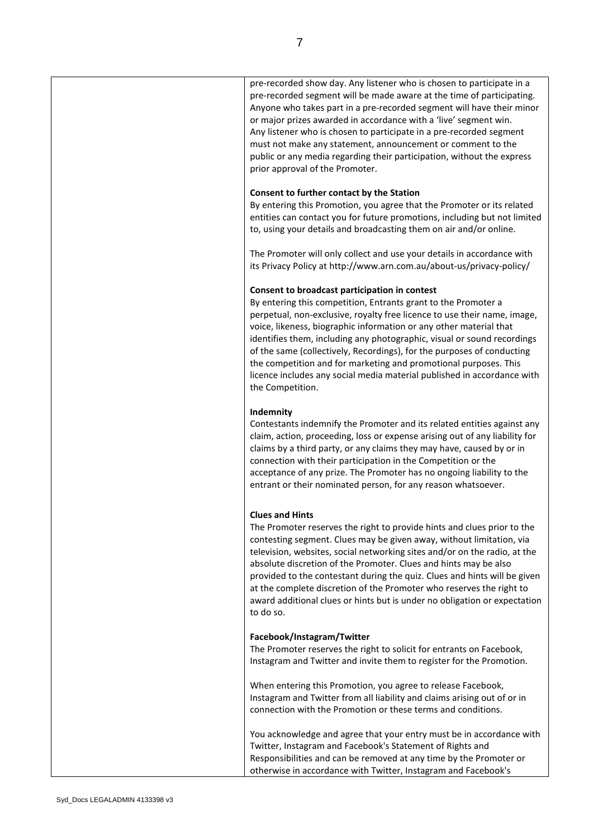| pre-recorded segment will be made aware at the time of participating.<br>Anyone who takes part in a pre-recorded segment will have their minor<br>or major prizes awarded in accordance with a 'live' segment win.<br>Any listener who is chosen to participate in a pre-recorded segment<br>must not make any statement, announcement or comment to the<br>public or any media regarding their participation, without the express<br>prior approval of the Promoter.                                                                                                                     |
|-------------------------------------------------------------------------------------------------------------------------------------------------------------------------------------------------------------------------------------------------------------------------------------------------------------------------------------------------------------------------------------------------------------------------------------------------------------------------------------------------------------------------------------------------------------------------------------------|
| Consent to further contact by the Station<br>By entering this Promotion, you agree that the Promoter or its related<br>entities can contact you for future promotions, including but not limited<br>to, using your details and broadcasting them on air and/or online.                                                                                                                                                                                                                                                                                                                    |
| The Promoter will only collect and use your details in accordance with<br>its Privacy Policy at http://www.arn.com.au/about-us/privacy-policy/                                                                                                                                                                                                                                                                                                                                                                                                                                            |
| Consent to broadcast participation in contest<br>By entering this competition, Entrants grant to the Promoter a<br>perpetual, non-exclusive, royalty free licence to use their name, image,<br>voice, likeness, biographic information or any other material that<br>identifies them, including any photographic, visual or sound recordings<br>of the same (collectively, Recordings), for the purposes of conducting<br>the competition and for marketing and promotional purposes. This<br>licence includes any social media material published in accordance with<br>the Competition. |
| Indemnity<br>Contestants indemnify the Promoter and its related entities against any<br>claim, action, proceeding, loss or expense arising out of any liability for<br>claims by a third party, or any claims they may have, caused by or in<br>connection with their participation in the Competition or the<br>acceptance of any prize. The Promoter has no ongoing liability to the<br>entrant or their nominated person, for any reason whatsoever.                                                                                                                                   |
| <b>Clues and Hints</b><br>The Promoter reserves the right to provide hints and clues prior to the<br>contesting segment. Clues may be given away, without limitation, via<br>television, websites, social networking sites and/or on the radio, at the<br>absolute discretion of the Promoter. Clues and hints may be also<br>provided to the contestant during the quiz. Clues and hints will be given<br>at the complete discretion of the Promoter who reserves the right to<br>award additional clues or hints but is under no obligation or expectation<br>to do so.                 |
| Facebook/Instagram/Twitter<br>The Promoter reserves the right to solicit for entrants on Facebook,<br>Instagram and Twitter and invite them to register for the Promotion.                                                                                                                                                                                                                                                                                                                                                                                                                |
| When entering this Promotion, you agree to release Facebook,<br>Instagram and Twitter from all liability and claims arising out of or in<br>connection with the Promotion or these terms and conditions.                                                                                                                                                                                                                                                                                                                                                                                  |
| You acknowledge and agree that your entry must be in accordance with<br>Twitter, Instagram and Facebook's Statement of Rights and<br>Responsibilities and can be removed at any time by the Promoter or<br>otherwise in accordance with Twitter, Instagram and Facebook's                                                                                                                                                                                                                                                                                                                 |

pre-recorded show day. Any listener who is chosen to participate in a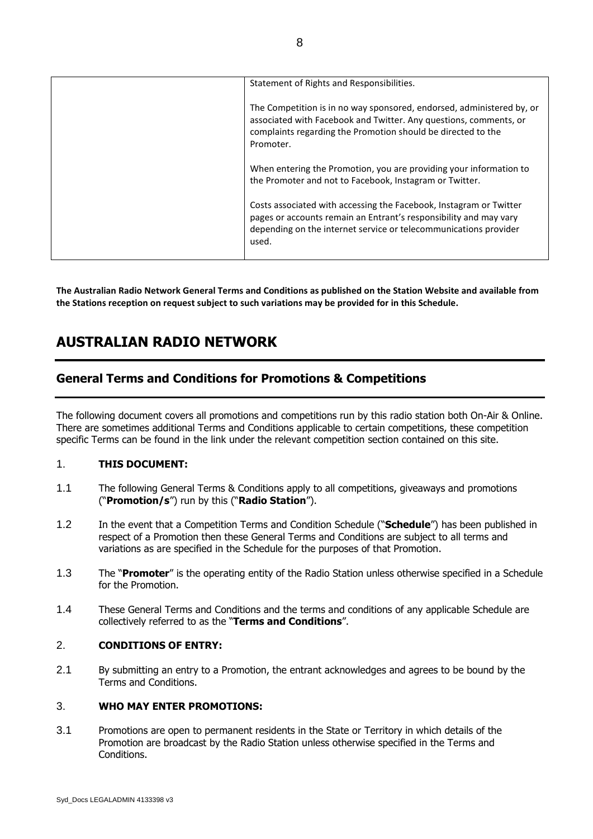| Statement of Rights and Responsibilities.                                                                                                                                                                               |
|-------------------------------------------------------------------------------------------------------------------------------------------------------------------------------------------------------------------------|
| The Competition is in no way sponsored, endorsed, administered by, or<br>associated with Facebook and Twitter. Any questions, comments, or<br>complaints regarding the Promotion should be directed to the<br>Promoter. |
| When entering the Promotion, you are providing your information to<br>the Promoter and not to Facebook, Instagram or Twitter.                                                                                           |
| Costs associated with accessing the Facebook, Instagram or Twitter<br>pages or accounts remain an Entrant's responsibility and may vary<br>depending on the internet service or telecommunications provider<br>used.    |

**The Australian Radio Network General Terms and Conditions as published on the Station Website and available from the Stations reception on request subject to such variations may be provided for in this Schedule.**

# **AUSTRALIAN RADIO NETWORK**

# **General Terms and Conditions for Promotions & Competitions**

The following document covers all promotions and competitions run by this radio station both On-Air & Online. There are sometimes additional Terms and Conditions applicable to certain competitions, these competition specific Terms can be found in the link under the relevant competition section contained on this site.

# 1. **THIS DOCUMENT:**

- 1.1 The following General Terms & Conditions apply to all competitions, giveaways and promotions ("**Promotion/s**") run by this ("**Radio Station**").
- 1.2 In the event that a Competition Terms and Condition Schedule ("**Schedule**") has been published in respect of a Promotion then these General Terms and Conditions are subject to all terms and variations as are specified in the Schedule for the purposes of that Promotion.
- 1.3 The "**Promoter**" is the operating entity of the Radio Station unless otherwise specified in a Schedule for the Promotion.
- 1.4 These General Terms and Conditions and the terms and conditions of any applicable Schedule are collectively referred to as the "**Terms and Conditions**".

# 2. **CONDITIONS OF ENTRY:**

2.1 By submitting an entry to a Promotion, the entrant acknowledges and agrees to be bound by the Terms and Conditions.

# 3. **WHO MAY ENTER PROMOTIONS:**

3.1 Promotions are open to permanent residents in the State or Territory in which details of the Promotion are broadcast by the Radio Station unless otherwise specified in the Terms and Conditions.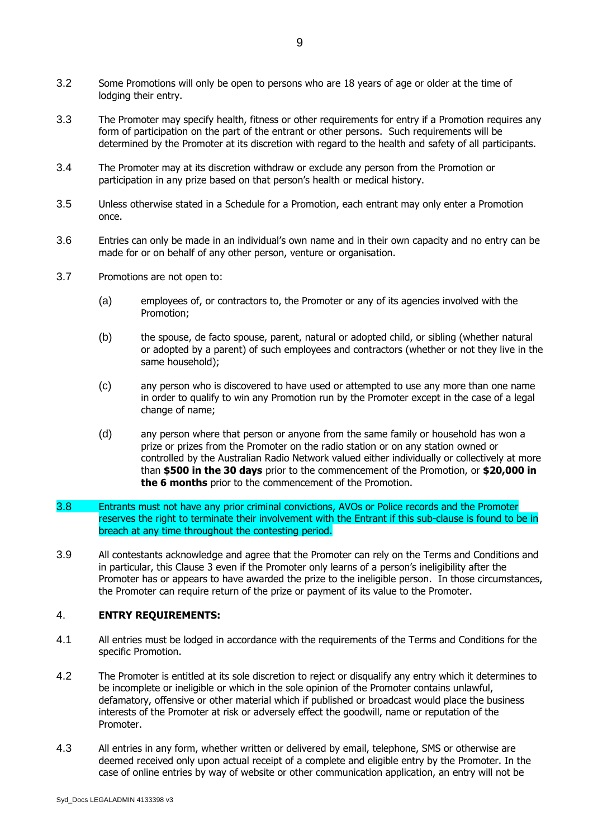- 3.2 Some Promotions will only be open to persons who are 18 years of age or older at the time of lodging their entry.
- 3.3 The Promoter may specify health, fitness or other requirements for entry if a Promotion requires any form of participation on the part of the entrant or other persons. Such requirements will be determined by the Promoter at its discretion with regard to the health and safety of all participants.
- 3.4 The Promoter may at its discretion withdraw or exclude any person from the Promotion or participation in any prize based on that person's health or medical history.
- 3.5 Unless otherwise stated in a Schedule for a Promotion, each entrant may only enter a Promotion once.
- 3.6 Entries can only be made in an individual's own name and in their own capacity and no entry can be made for or on behalf of any other person, venture or organisation.
- 3.7 Promotions are not open to:
	- (a) employees of, or contractors to, the Promoter or any of its agencies involved with the Promotion;
	- (b) the spouse, de facto spouse, parent, natural or adopted child, or sibling (whether natural or adopted by a parent) of such employees and contractors (whether or not they live in the same household);
	- (c) any person who is discovered to have used or attempted to use any more than one name in order to qualify to win any Promotion run by the Promoter except in the case of a legal change of name;
	- (d) any person where that person or anyone from the same family or household has won a prize or prizes from the Promoter on the radio station or on any station owned or controlled by the Australian Radio Network valued either individually or collectively at more than **\$500 in the 30 days** prior to the commencement of the Promotion, or **\$20,000 in the 6 months** prior to the commencement of the Promotion.
- 3.8 Entrants must not have any prior criminal convictions, AVOs or Police records and the Promoter reserves the right to terminate their involvement with the Entrant if this sub-clause is found to be in breach at any time throughout the contesting period.
- 3.9 All contestants acknowledge and agree that the Promoter can rely on the Terms and Conditions and in particular, this Clause 3 even if the Promoter only learns of a person's ineligibility after the Promoter has or appears to have awarded the prize to the ineligible person. In those circumstances, the Promoter can require return of the prize or payment of its value to the Promoter.

# 4. **ENTRY REQUIREMENTS:**

- 4.1 All entries must be lodged in accordance with the requirements of the Terms and Conditions for the specific Promotion.
- 4.2 The Promoter is entitled at its sole discretion to reject or disqualify any entry which it determines to be incomplete or ineligible or which in the sole opinion of the Promoter contains unlawful, defamatory, offensive or other material which if published or broadcast would place the business interests of the Promoter at risk or adversely effect the goodwill, name or reputation of the Promoter.
- 4.3 All entries in any form, whether written or delivered by email, telephone, SMS or otherwise are deemed received only upon actual receipt of a complete and eligible entry by the Promoter. In the case of online entries by way of website or other communication application, an entry will not be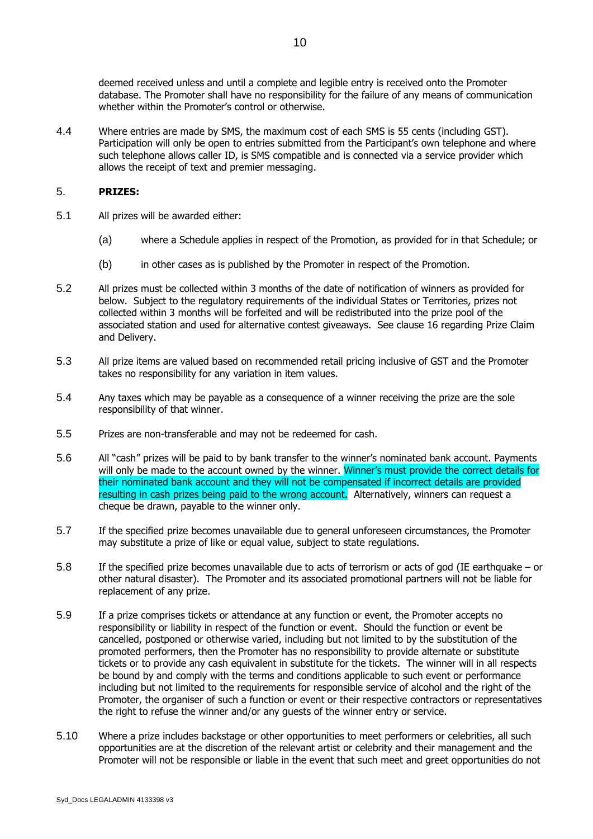deemed received unless and until a complete and legible entry is received onto the Promoter database. The Promoter shall have no responsibility for the failure of any means of communication whether within the Promoter's control or otherwise.

4.4 Where entries are made by SMS, the maximum cost of each SMS is 55 cents (including GST). Participation will only be open to entries submitted from the Participant's own telephone and where such telephone allows caller ID, is SMS compatible and is connected via a service provider which allows the receipt of text and premier messaging.

# 5. **PRIZES:**

- 5.1 All prizes will be awarded either:
	- (a) where a Schedule applies in respect of the Promotion, as provided for in that Schedule; or
	- (b) in other cases as is published by the Promoter in respect of the Promotion.
- 5.2 All prizes must be collected within 3 months of the date of notification of winners as provided for below. Subject to the regulatory requirements of the individual States or Territories, prizes not collected within 3 months will be forfeited and will be redistributed into the prize pool of the associated station and used for alternative contest giveaways. See clause 16 regarding Prize Claim and Delivery.
- 5.3 All prize items are valued based on recommended retail pricing inclusive of GST and the Promoter takes no responsibility for any variation in item values.
- 5.4 Any taxes which may be payable as a consequence of a winner receiving the prize are the sole responsibility of that winner.
- 5.5 Prizes are non-transferable and may not be redeemed for cash.
- 5.6 All "cash" prizes will be paid to by bank transfer to the winner's nominated bank account. Payments will only be made to the account owned by the winner. Winner's must provide the correct details for their nominated bank account and they will not be compensated if incorrect details are provided resulting in cash prizes being paid to the wrong account. Alternatively, winners can request a cheque be drawn, payable to the winner only.
- 5.7 If the specified prize becomes unavailable due to general unforeseen circumstances, the Promoter may substitute a prize of like or equal value, subject to state regulations.
- 5.8 If the specified prize becomes unavailable due to acts of terrorism or acts of god (IE earthquake or other natural disaster). The Promoter and its associated promotional partners will not be liable for replacement of any prize.
- 5.9 If a prize comprises tickets or attendance at any function or event, the Promoter accepts no responsibility or liability in respect of the function or event. Should the function or event be cancelled, postponed or otherwise varied, including but not limited to by the substitution of the promoted performers, then the Promoter has no responsibility to provide alternate or substitute tickets or to provide any cash equivalent in substitute for the tickets. The winner will in all respects be bound by and comply with the terms and conditions applicable to such event or performance including but not limited to the requirements for responsible service of alcohol and the right of the Promoter, the organiser of such a function or event or their respective contractors or representatives the right to refuse the winner and/or any guests of the winner entry or service.
- 5.10 Where a prize includes backstage or other opportunities to meet performers or celebrities, all such opportunities are at the discretion of the relevant artist or celebrity and their management and the Promoter will not be responsible or liable in the event that such meet and greet opportunities do not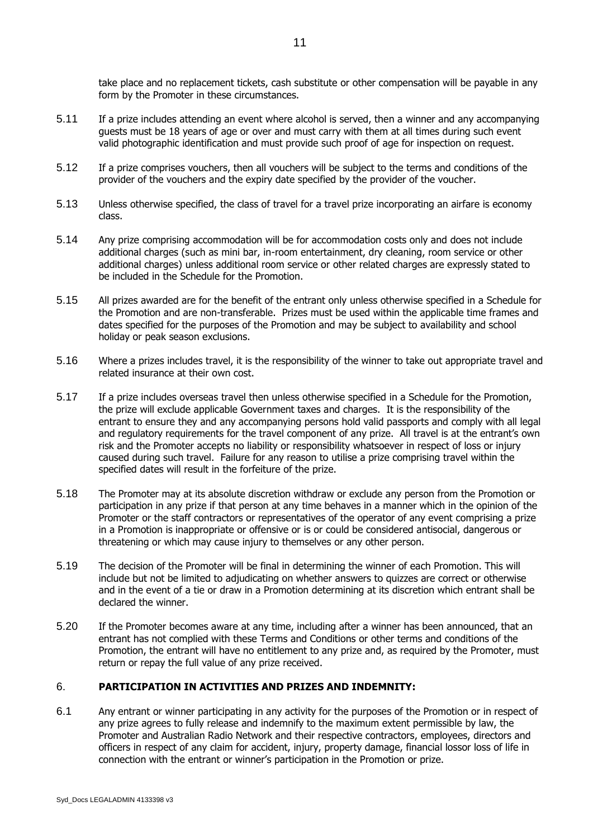take place and no replacement tickets, cash substitute or other compensation will be payable in any form by the Promoter in these circumstances.

- 5.11 If a prize includes attending an event where alcohol is served, then a winner and any accompanying guests must be 18 years of age or over and must carry with them at all times during such event valid photographic identification and must provide such proof of age for inspection on request.
- 5.12 If a prize comprises vouchers, then all vouchers will be subject to the terms and conditions of the provider of the vouchers and the expiry date specified by the provider of the voucher.
- 5.13 Unless otherwise specified, the class of travel for a travel prize incorporating an airfare is economy class.
- 5.14 Any prize comprising accommodation will be for accommodation costs only and does not include additional charges (such as mini bar, in-room entertainment, dry cleaning, room service or other additional charges) unless additional room service or other related charges are expressly stated to be included in the Schedule for the Promotion.
- 5.15 All prizes awarded are for the benefit of the entrant only unless otherwise specified in a Schedule for the Promotion and are non-transferable. Prizes must be used within the applicable time frames and dates specified for the purposes of the Promotion and may be subject to availability and school holiday or peak season exclusions.
- 5.16 Where a prizes includes travel, it is the responsibility of the winner to take out appropriate travel and related insurance at their own cost.
- 5.17 If a prize includes overseas travel then unless otherwise specified in a Schedule for the Promotion, the prize will exclude applicable Government taxes and charges. It is the responsibility of the entrant to ensure they and any accompanying persons hold valid passports and comply with all legal and regulatory requirements for the travel component of any prize. All travel is at the entrant's own risk and the Promoter accepts no liability or responsibility whatsoever in respect of loss or injury caused during such travel. Failure for any reason to utilise a prize comprising travel within the specified dates will result in the forfeiture of the prize.
- 5.18 The Promoter may at its absolute discretion withdraw or exclude any person from the Promotion or participation in any prize if that person at any time behaves in a manner which in the opinion of the Promoter or the staff contractors or representatives of the operator of any event comprising a prize in a Promotion is inappropriate or offensive or is or could be considered antisocial, dangerous or threatening or which may cause injury to themselves or any other person.
- 5.19 The decision of the Promoter will be final in determining the winner of each Promotion. This will include but not be limited to adjudicating on whether answers to quizzes are correct or otherwise and in the event of a tie or draw in a Promotion determining at its discretion which entrant shall be declared the winner.
- 5.20 If the Promoter becomes aware at any time, including after a winner has been announced, that an entrant has not complied with these Terms and Conditions or other terms and conditions of the Promotion, the entrant will have no entitlement to any prize and, as required by the Promoter, must return or repay the full value of any prize received.

# 6. **PARTICIPATION IN ACTIVITIES AND PRIZES AND INDEMNITY:**

<span id="page-10-0"></span>6.1 Any entrant or winner participating in any activity for the purposes of the Promotion or in respect of any prize agrees to fully release and indemnify to the maximum extent permissible by law, the Promoter and Australian Radio Network and their respective contractors, employees, directors and officers in respect of any claim for accident, injury, property damage, financial lossor loss of life in connection with the entrant or winner's participation in the Promotion or prize.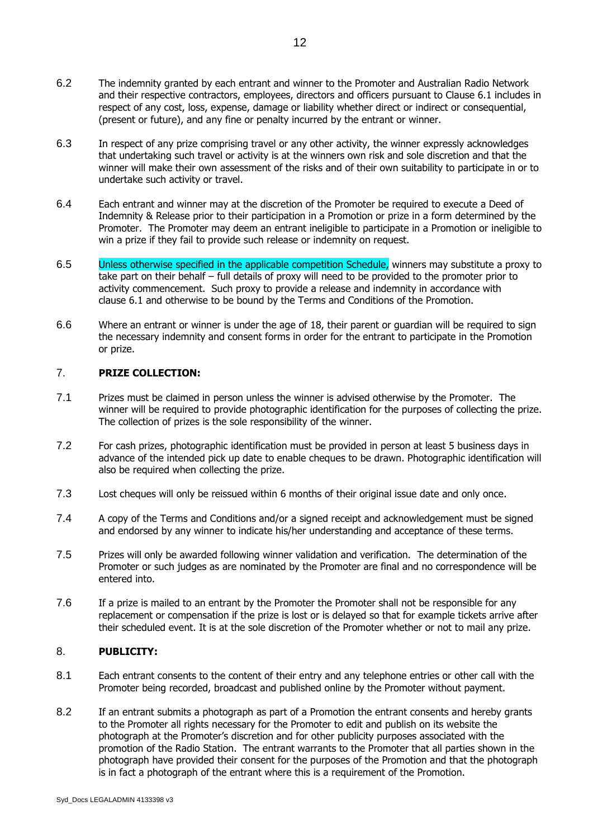- 6.2 The indemnity granted by each entrant and winner to the Promoter and Australian Radio Network and their respective contractors, employees, directors and officers pursuant to Clause 6.1 includes in respect of any cost, loss, expense, damage or liability whether direct or indirect or consequential, (present or future), and any fine or penalty incurred by the entrant or winner.
- 6.3 In respect of any prize comprising travel or any other activity, the winner expressly acknowledges that undertaking such travel or activity is at the winners own risk and sole discretion and that the winner will make their own assessment of the risks and of their own suitability to participate in or to undertake such activity or travel.
- 6.4 Each entrant and winner may at the discretion of the Promoter be required to execute a Deed of Indemnity & Release prior to their participation in a Promotion or prize in a form determined by the Promoter. The Promoter may deem an entrant ineligible to participate in a Promotion or ineligible to win a prize if they fail to provide such release or indemnity on request.
- 6.5 Unless otherwise specified in the applicable competition Schedule, winners may substitute a proxy to take part on their behalf – full details of proxy will need to be provided to the promoter prior to activity commencement. Such proxy to provide a release and indemnity in accordance with clause [6.1](#page-10-0) and otherwise to be bound by the Terms and Conditions of the Promotion.
- 6.6 Where an entrant or winner is under the age of 18, their parent or guardian will be required to sign the necessary indemnity and consent forms in order for the entrant to participate in the Promotion or prize.

# 7. **PRIZE COLLECTION:**

- 7.1 Prizes must be claimed in person unless the winner is advised otherwise by the Promoter. The winner will be required to provide photographic identification for the purposes of collecting the prize. The collection of prizes is the sole responsibility of the winner.
- 7.2 For cash prizes, photographic identification must be provided in person at least 5 business days in advance of the intended pick up date to enable cheques to be drawn. Photographic identification will also be required when collecting the prize.
- 7.3 Lost cheques will only be reissued within 6 months of their original issue date and only once.
- 7.4 A copy of the Terms and Conditions and/or a signed receipt and acknowledgement must be signed and endorsed by any winner to indicate his/her understanding and acceptance of these terms.
- 7.5 Prizes will only be awarded following winner validation and verification. The determination of the Promoter or such judges as are nominated by the Promoter are final and no correspondence will be entered into.
- 7.6 If a prize is mailed to an entrant by the Promoter the Promoter shall not be responsible for any replacement or compensation if the prize is lost or is delayed so that for example tickets arrive after their scheduled event. It is at the sole discretion of the Promoter whether or not to mail any prize.

# 8. **PUBLICITY:**

- 8.1 Each entrant consents to the content of their entry and any telephone entries or other call with the Promoter being recorded, broadcast and published online by the Promoter without payment.
- 8.2 If an entrant submits a photograph as part of a Promotion the entrant consents and hereby grants to the Promoter all rights necessary for the Promoter to edit and publish on its website the photograph at the Promoter's discretion and for other publicity purposes associated with the promotion of the Radio Station. The entrant warrants to the Promoter that all parties shown in the photograph have provided their consent for the purposes of the Promotion and that the photograph is in fact a photograph of the entrant where this is a requirement of the Promotion.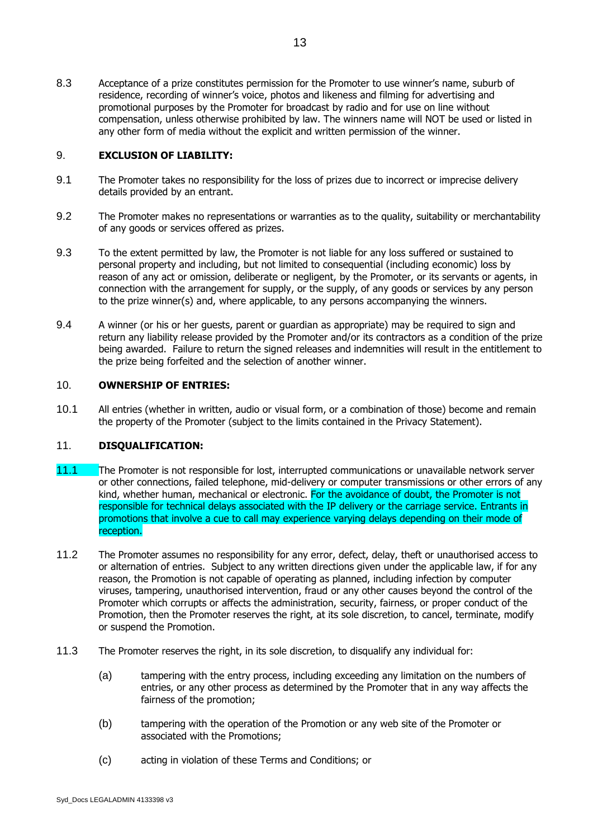8.3 Acceptance of a prize constitutes permission for the Promoter to use winner's name, suburb of residence, recording of winner's voice, photos and likeness and filming for advertising and promotional purposes by the Promoter for broadcast by radio and for use on line without compensation, unless otherwise prohibited by law. The winners name will NOT be used or listed in any other form of media without the explicit and written permission of the winner.

# 9. **EXCLUSION OF LIABILITY:**

- 9.1 The Promoter takes no responsibility for the loss of prizes due to incorrect or imprecise delivery details provided by an entrant.
- 9.2 The Promoter makes no representations or warranties as to the quality, suitability or merchantability of any goods or services offered as prizes.
- 9.3 To the extent permitted by law, the Promoter is not liable for any loss suffered or sustained to personal property and including, but not limited to consequential (including economic) loss by reason of any act or omission, deliberate or negligent, by the Promoter, or its servants or agents, in connection with the arrangement for supply, or the supply, of any goods or services by any person to the prize winner(s) and, where applicable, to any persons accompanying the winners.
- 9.4 A winner (or his or her guests, parent or guardian as appropriate) may be required to sign and return any liability release provided by the Promoter and/or its contractors as a condition of the prize being awarded. Failure to return the signed releases and indemnities will result in the entitlement to the prize being forfeited and the selection of another winner.

#### 10. **OWNERSHIP OF ENTRIES:**

10.1 All entries (whether in written, audio or visual form, or a combination of those) become and remain the property of the Promoter (subject to the limits contained in the Privacy Statement).

# 11. **DISQUALIFICATION:**

- 11.1 The Promoter is not responsible for lost, interrupted communications or unavailable network server or other connections, failed telephone, mid-delivery or computer transmissions or other errors of any kind, whether human, mechanical or electronic. For the avoidance of doubt, the Promoter is not responsible for technical delays associated with the IP delivery or the carriage service. Entrants in promotions that involve a cue to call may experience varying delays depending on their mode of reception.
- 11.2 The Promoter assumes no responsibility for any error, defect, delay, theft or unauthorised access to or alternation of entries. Subject to any written directions given under the applicable law, if for any reason, the Promotion is not capable of operating as planned, including infection by computer viruses, tampering, unauthorised intervention, fraud or any other causes beyond the control of the Promoter which corrupts or affects the administration, security, fairness, or proper conduct of the Promotion, then the Promoter reserves the right, at its sole discretion, to cancel, terminate, modify or suspend the Promotion.
- 11.3 The Promoter reserves the right, in its sole discretion, to disqualify any individual for:
	- (a) tampering with the entry process, including exceeding any limitation on the numbers of entries, or any other process as determined by the Promoter that in any way affects the fairness of the promotion;
	- (b) tampering with the operation of the Promotion or any web site of the Promoter or associated with the Promotions;
	- (c) acting in violation of these Terms and Conditions; or